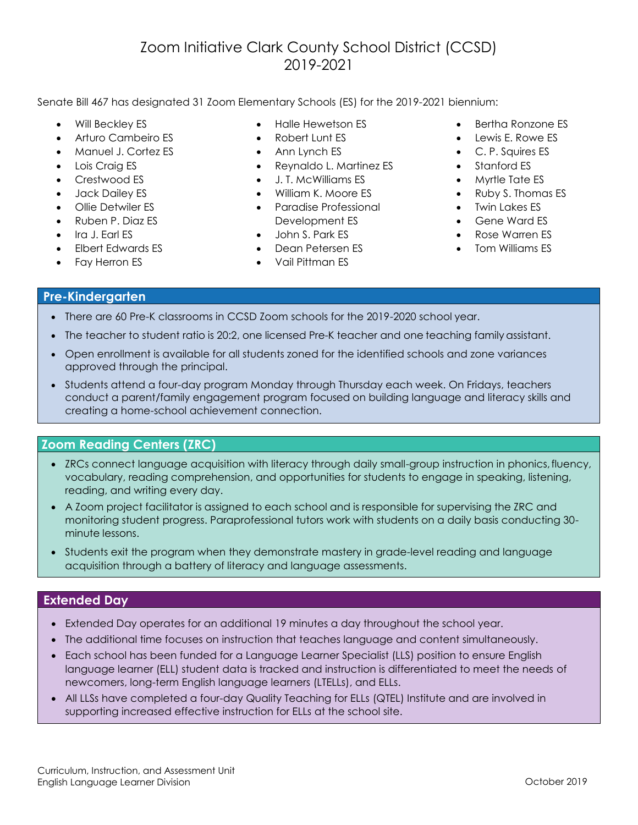# Zoom Initiative Clark County School District (CCSD) 2019-2021

Senate Bill 467 has designated 31 Zoom Elementary Schools (ES) for the 2019-2021 biennium:

- Will Beckley ES
- Arturo Cambeiro ES
- Manuel J. Cortez ES
- Lois Craig ES
- Crestwood ES
- Jack Dailey ES
- Ollie Detwiler ES
- Ruben P. Diaz ES
- Ira J. Earl ES
- Elbert Edwards ES
- Fay Herron ES
- Halle Hewetson ES
- Robert Lunt ES
- Ann Lynch ES
- Reynaldo L. Martinez ES
- J. T. McWilliams ES
- William K. Moore ES
- Paradise Professional Development ES
- John S. Park ES
- Dean Petersen ES
- Vail Pittman ES
- Bertha Ronzone ES
- Lewis E. Rowe ES
- C. P. Squires ES
- Stanford ES
- Myrtle Tate ES
- Ruby S. Thomas ES
- Twin Lakes ES
- Gene Ward ES
- Rose Warren ES
- Tom Williams ES

### **Pre-Kindergarten**

- There are 60 Pre-K classrooms in CCSD Zoom schools for the 2019-2020 school year.
- The teacher to student ratio is 20:2, one licensed Pre-K teacher and one teaching familyassistant.
- Open enrollment is available for all students zoned for the identified schools and zone variances approved through the principal.
- Students attend a four-day program Monday through Thursday each week. On Fridays, teachers conduct a parent/family engagement program focused on building language and literacy skills and creating a home-school achievement connection.

### **Zoom Reading Centers (ZRC)**

- ZRCs connect language acquisition with literacy through daily small-group instruction in phonics, fluency, vocabulary, reading comprehension, and opportunities for students to engage in speaking, listening, reading, and writing every day.
- A Zoom project facilitator is assigned to each school and is responsible for supervising the ZRC and monitoring student progress. Paraprofessional tutors work with students on a daily basis conducting 30 minute lessons.
- Students exit the program when they demonstrate mastery in grade-level reading and language acquisition through a battery of literacy and language assessments.

### **Extended Day**

- Extended Day operates for an additional 19 minutes a day throughout the school year.
- The additional time focuses on instruction that teaches language and content simultaneously.
- Each school has been funded for a Language Learner Specialist (LLS) position to ensure English language learner (ELL) student data is tracked and instruction is differentiated to meet the needs of newcomers, long-term English language learners (LTELLs), and ELLs.
- All LLSs have completed a four-day Quality Teaching for ELLs (QTEL) Institute and are involved in supporting increased effective instruction for ELLs at the school site.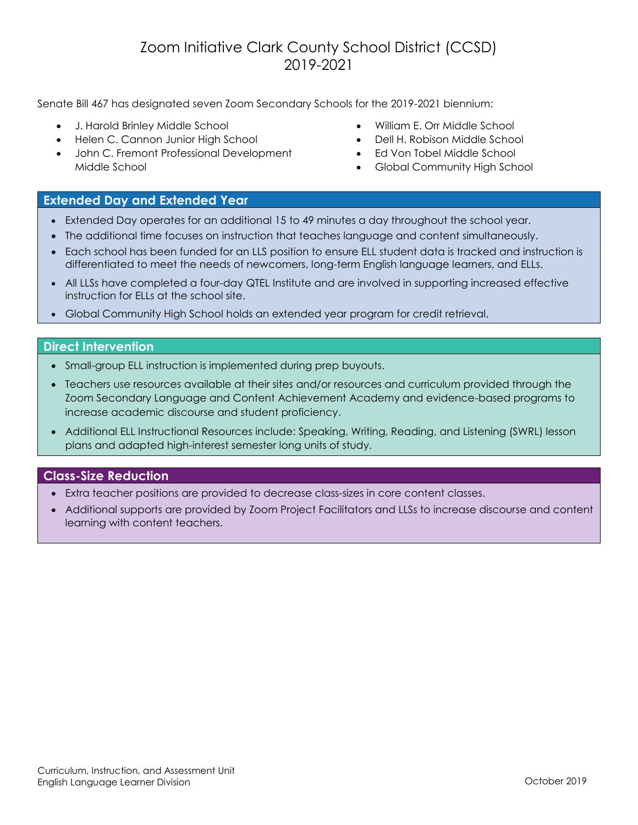# Zoom Initiative Clark County School District (CCSD) 2019-2021

Senate Bill 467 has designated seven Zoom Secondary Schools for the 2019-2021 biennium:

- J. Harold Brinley Middle School
- Helen C. Cannon Junior High School
- John C. Fremont Professional Development Middle School
- William E. Orr Middle School
- Dell H. Robison Middle School
- Ed Von Tobel Middle School
- Global Community High School

### **Extended Day and Extended Year**

- Extended Day operates for an additional 15 to 49 minutes a day throughout the school year.
- The additional time focuses on instruction that teaches language and content simultaneously.
- Each school has been funded for an LLS position to ensure ELL student data is tracked and instruction is differentiated to meet the needs of newcomers, long-term English language learners, and ELLs.
- All LLSs have completed a four-day QTEL Institute and are involved in supporting increased effective instruction for ELLs at the school site.
- Global Community High School holds an extended year program for credit retrieval.

#### **Direct Intervention**

- Small-group ELL instruction is implemented during prep buyouts.
- Teachers use resources available at their sites and/or resources and curriculum provided through the Zoom Secondary Language and Content Achievement Academy and evidence-based programs to increase academic discourse and student proficiency.
- Additional ELL Instructional Resources include: Speaking, Writing, Reading, and Listening (SWRL) lesson plans and adapted high-interest semester long units of study.

#### **Class-Size Reduction**

- Extra teacher positions are provided to decrease class-sizes in core content classes.
- Additional supports are provided by Zoom Project Facilitators and LLSs to increase discourse and content learning with content teachers.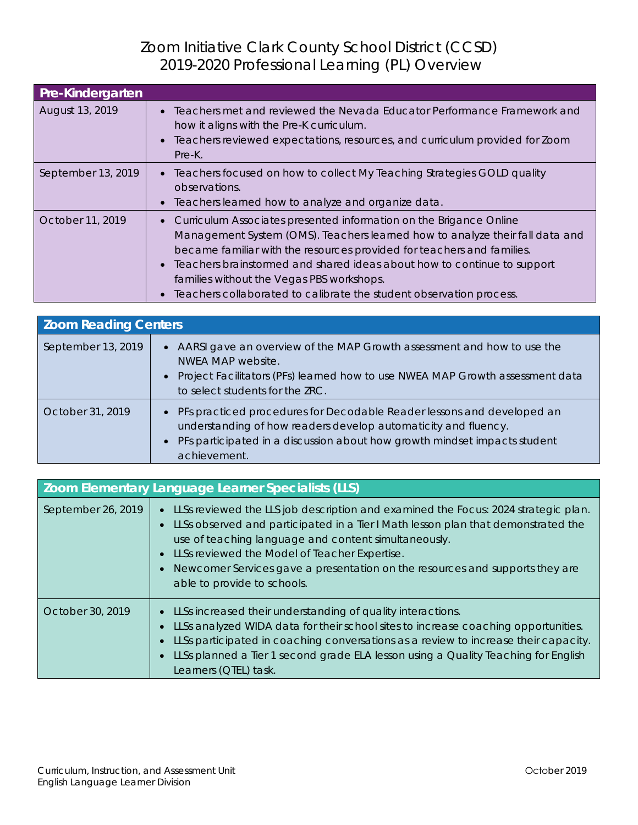# Zoom Initiative Clark County School District (CCSD) 2019-2020 Professional Learning (PL) Overview

| <b>Pre-Kindergarten</b> |                                                                                                                                                                                                                                                                                                                                                                                                                             |  |
|-------------------------|-----------------------------------------------------------------------------------------------------------------------------------------------------------------------------------------------------------------------------------------------------------------------------------------------------------------------------------------------------------------------------------------------------------------------------|--|
| August 13, 2019         | Teachers met and reviewed the Nevada Educator Performance Framework and<br>how it aligns with the Pre-K curriculum.<br>Teachers reviewed expectations, resources, and curriculum provided for Zoom<br>$Pre-K.$                                                                                                                                                                                                              |  |
| September 13, 2019      | Teachers focused on how to collect My Teaching Strategies GOLD quality<br>observations.<br>Teachers learned how to analyze and organize data.                                                                                                                                                                                                                                                                               |  |
| October 11, 2019        | Curriculum Associates presented information on the Brigance Online<br>Management System (OMS). Teachers learned how to analyze their fall data and<br>became familiar with the resources provided for teachers and families.<br>Teachers brainstormed and shared ideas about how to continue to support<br>families without the Vegas PBS workshops.<br>Teachers collaborated to calibrate the student observation process. |  |

| <b>Zoom Reading Centers</b> |                                                                                                                                                                                                                                           |  |
|-----------------------------|-------------------------------------------------------------------------------------------------------------------------------------------------------------------------------------------------------------------------------------------|--|
| September 13, 2019          | • AARSI gave an overview of the MAP Growth assessment and how to use the<br>NWEA MAP website.<br>• Project Facilitators (PFs) learned how to use NWEA MAP Growth assessment data<br>to select students for the ZRC.                       |  |
| October 31, 2019            | • PFs practiced procedures for Decodable Reader lessons and developed an<br>understanding of how readers develop automaticity and fluency.<br>• PFs participated in a discussion about how growth mindset impacts student<br>achievement. |  |

| Zoom Elementary Language Learner Specialists (LLS) |                                                                                                                                                                                                                                                                                                                                                                                                              |  |
|----------------------------------------------------|--------------------------------------------------------------------------------------------------------------------------------------------------------------------------------------------------------------------------------------------------------------------------------------------------------------------------------------------------------------------------------------------------------------|--|
| September 26, 2019                                 | LLSs reviewed the LLS job description and examined the Focus: 2024 strategic plan.<br>LLSs observed and participated in a Tier I Math lesson plan that demonstrated the<br>use of teaching language and content simultaneously.<br>LLSs reviewed the Model of Teacher Expertise.<br>$\bullet$<br>Newcomer Services gave a presentation on the resources and supports they are<br>able to provide to schools. |  |
| October 30, 2019                                   | LLSs increased their understanding of quality interactions.<br>$\bullet$<br>LLSs analyzed WIDA data for their school sites to increase coaching opportunities.<br>LLSs participated in coaching conversations as a review to increase their capacity.<br>LLSs planned a Tier 1 second grade ELA lesson using a Quality Teaching for English<br>Learners (QTEL) task.                                         |  |